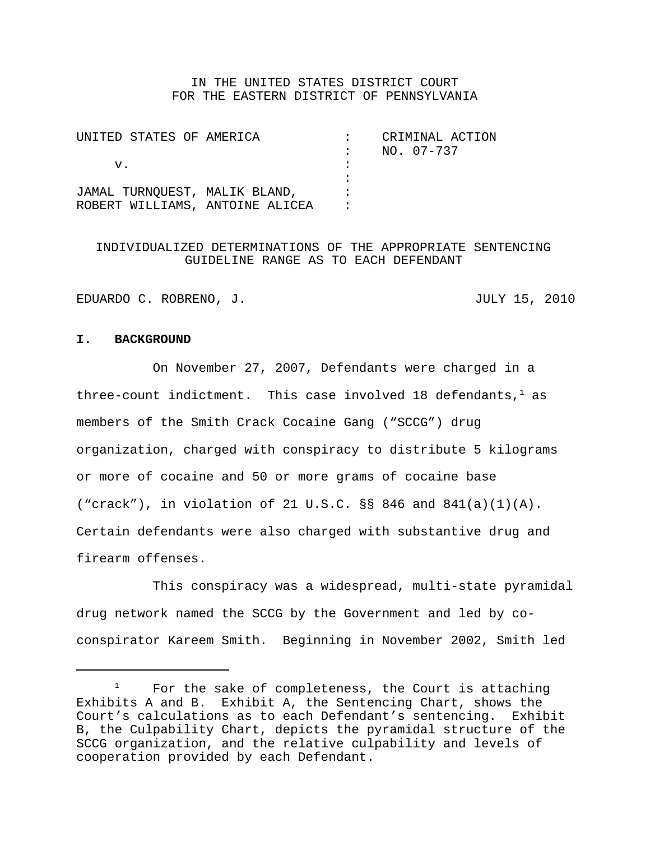### IN THE UNITED STATES DISTRICT COURT FOR THE EASTERN DISTRICT OF PENNSYLVANIA

| UNITED STATES OF AMERICA        |  | CRIMINAL ACTION |
|---------------------------------|--|-----------------|
|                                 |  | NO. 07-737      |
| v.                              |  |                 |
|                                 |  |                 |
| JAMAL TURNQUEST, MALIK BLAND,   |  |                 |
| ROBERT WILLIAMS, ANTOINE ALICEA |  |                 |

### INDIVIDUALIZED DETERMINATIONS OF THE APPROPRIATE SENTENCING GUIDELINE RANGE AS TO EACH DEFENDANT

EDUARDO C. ROBRENO, J. JULY 15, 2010

### **I. BACKGROUND**

On November 27, 2007, Defendants were charged in a three-count indictment. This case involved 18 defendants,  $1$  as members of the Smith Crack Cocaine Gang ("SCCG") drug organization, charged with conspiracy to distribute 5 kilograms or more of cocaine and 50 or more grams of cocaine base ("crack"), in violation of 21 U.S.C. §§ 846 and 841(a)(1)(A). Certain defendants were also charged with substantive drug and firearm offenses.

This conspiracy was a widespread, multi-state pyramidal drug network named the SCCG by the Government and led by coconspirator Kareem Smith. Beginning in November 2002, Smith led

 $1$  For the sake of completeness, the Court is attaching Exhibits A and B. Exhibit A, the Sentencing Chart, shows the Court's calculations as to each Defendant's sentencing. Exhibit B, the Culpability Chart, depicts the pyramidal structure of the SCCG organization, and the relative culpability and levels of cooperation provided by each Defendant.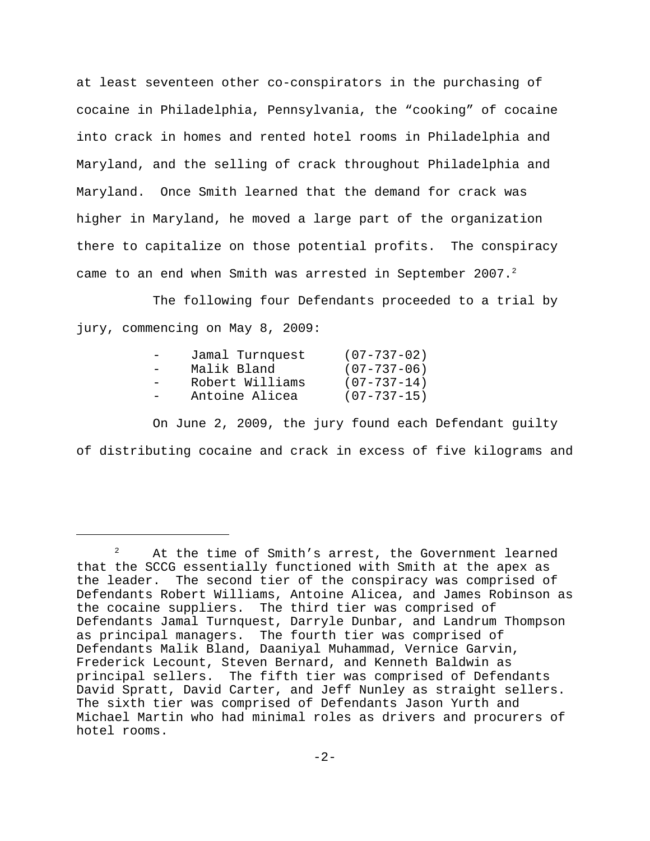at least seventeen other co-conspirators in the purchasing of cocaine in Philadelphia, Pennsylvania, the "cooking" of cocaine into crack in homes and rented hotel rooms in Philadelphia and Maryland, and the selling of crack throughout Philadelphia and Maryland. Once Smith learned that the demand for crack was higher in Maryland, he moved a large part of the organization there to capitalize on those potential profits. The conspiracy came to an end when Smith was arrested in September 2007.<sup>2</sup>

The following four Defendants proceeded to a trial by jury, commencing on May 8, 2009:

| Jamal Turnquest | $(07 - 737 - 02)$ |
|-----------------|-------------------|
| Malik Bland     | $(07 - 737 - 06)$ |
| Robert Williams | $(07 - 737 - 14)$ |
| Antoine Alicea  | $(07 - 737 - 15)$ |

On June 2, 2009, the jury found each Defendant guilty of distributing cocaine and crack in excess of five kilograms and

<sup>&</sup>lt;sup>2</sup> At the time of Smith's arrest, the Government learned that the SCCG essentially functioned with Smith at the apex as the leader. The second tier of the conspiracy was comprised of Defendants Robert Williams, Antoine Alicea, and James Robinson as the cocaine suppliers. The third tier was comprised of Defendants Jamal Turnquest, Darryle Dunbar, and Landrum Thompson as principal managers. The fourth tier was comprised of Defendants Malik Bland, Daaniyal Muhammad, Vernice Garvin, Frederick Lecount, Steven Bernard, and Kenneth Baldwin as principal sellers. The fifth tier was comprised of Defendants David Spratt, David Carter, and Jeff Nunley as straight sellers. The sixth tier was comprised of Defendants Jason Yurth and Michael Martin who had minimal roles as drivers and procurers of hotel rooms.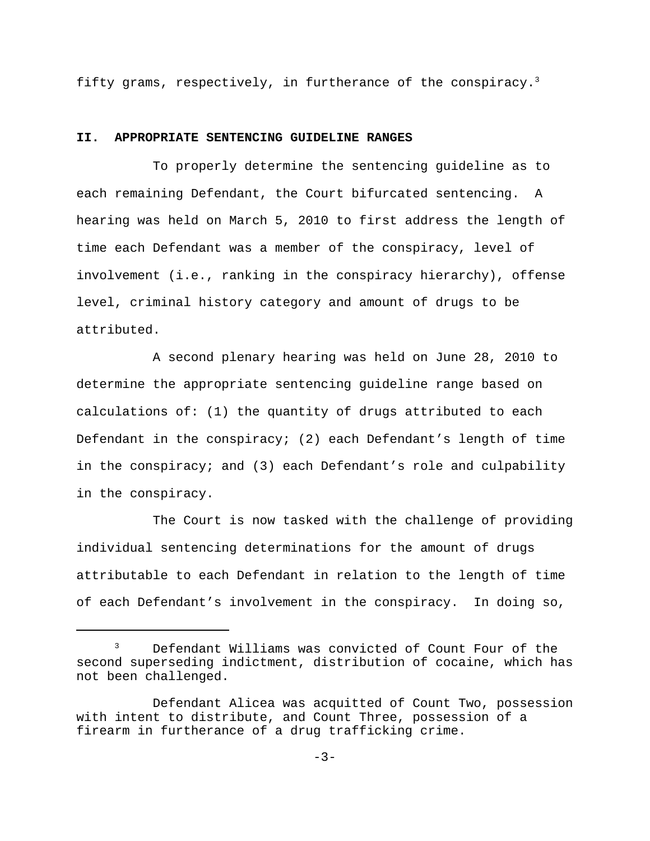fifty grams, respectively, in furtherance of the conspiracy.<sup>3</sup>

#### **II. APPROPRIATE SENTENCING GUIDELINE RANGES**

To properly determine the sentencing guideline as to each remaining Defendant, the Court bifurcated sentencing. A hearing was held on March 5, 2010 to first address the length of time each Defendant was a member of the conspiracy, level of involvement (i.e., ranking in the conspiracy hierarchy), offense level, criminal history category and amount of drugs to be attributed.

A second plenary hearing was held on June 28, 2010 to determine the appropriate sentencing guideline range based on calculations of: (1) the quantity of drugs attributed to each Defendant in the conspiracy; (2) each Defendant's length of time in the conspiracy; and (3) each Defendant's role and culpability in the conspiracy.

The Court is now tasked with the challenge of providing individual sentencing determinations for the amount of drugs attributable to each Defendant in relation to the length of time of each Defendant's involvement in the conspiracy. In doing so,

<sup>&</sup>lt;sup>3</sup> Defendant Williams was convicted of Count Four of the second superseding indictment, distribution of cocaine, which has not been challenged.

Defendant Alicea was acquitted of Count Two, possession with intent to distribute, and Count Three, possession of a firearm in furtherance of a drug trafficking crime.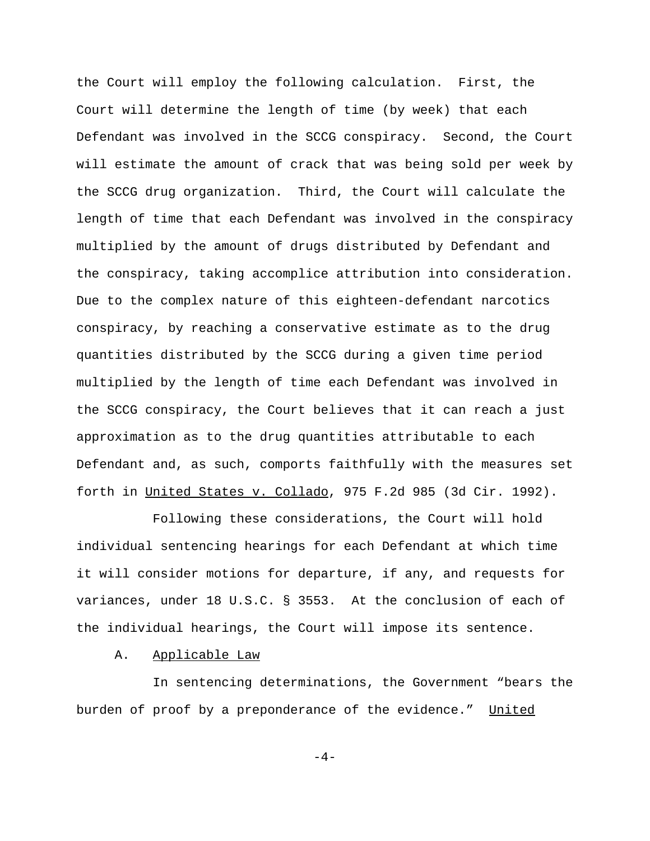the Court will employ the following calculation. First, the Court will determine the length of time (by week) that each Defendant was involved in the SCCG conspiracy. Second, the Court will estimate the amount of crack that was being sold per week by the SCCG drug organization. Third, the Court will calculate the length of time that each Defendant was involved in the conspiracy multiplied by the amount of drugs distributed by Defendant and the conspiracy, taking accomplice attribution into consideration. Due to the complex nature of this eighteen-defendant narcotics conspiracy, by reaching a conservative estimate as to the drug quantities distributed by the SCCG during a given time period multiplied by the length of time each Defendant was involved in the SCCG conspiracy, the Court believes that it can reach a just approximation as to the drug quantities attributable to each Defendant and, as such, comports faithfully with the measures set forth in United States v. Collado, 975 F.2d 985 (3d Cir. 1992).

Following these considerations, the Court will hold individual sentencing hearings for each Defendant at which time it will consider motions for departure, if any, and requests for variances, under 18 U.S.C. § 3553. At the conclusion of each of the individual hearings, the Court will impose its sentence.

A. Applicable Law

In sentencing determinations, the Government "bears the burden of proof by a preponderance of the evidence." United

 $-4-$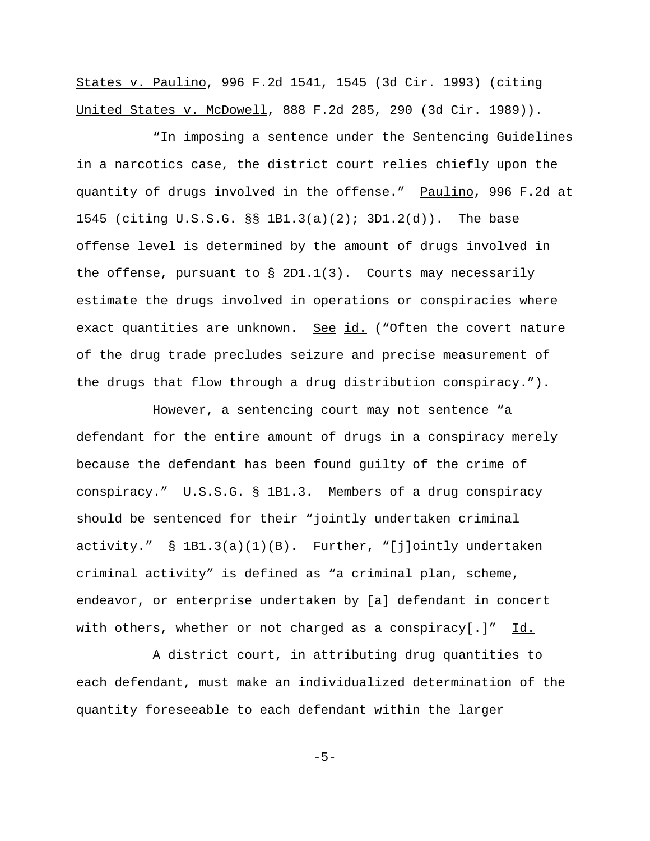States v. Paulino, 996 F.2d 1541, 1545 (3d Cir. 1993) (citing United States v. McDowell, 888 F.2d 285, 290 (3d Cir. 1989)).

"In imposing a sentence under the Sentencing Guidelines in a narcotics case, the district court relies chiefly upon the quantity of drugs involved in the offense." Paulino, 996 F.2d at 1545 (citing U.S.S.G. §§ 1B1.3(a)(2); 3D1.2(d)). The base offense level is determined by the amount of drugs involved in the offense, pursuant to § 2D1.1(3). Courts may necessarily estimate the drugs involved in operations or conspiracies where exact quantities are unknown. See id. ("Often the covert nature of the drug trade precludes seizure and precise measurement of the drugs that flow through a drug distribution conspiracy.").

However, a sentencing court may not sentence "a defendant for the entire amount of drugs in a conspiracy merely because the defendant has been found guilty of the crime of conspiracy." U.S.S.G. § 1B1.3. Members of a drug conspiracy should be sentenced for their "jointly undertaken criminal activity." § 1B1.3(a)(1)(B). Further, "[j]ointly undertaken criminal activity" is defined as "a criminal plan, scheme, endeavor, or enterprise undertaken by [a] defendant in concert with others, whether or not charged as a conspiracy[.]"  $\underline{Id.}$ 

A district court, in attributing drug quantities to each defendant, must make an individualized determination of the quantity foreseeable to each defendant within the larger

-5-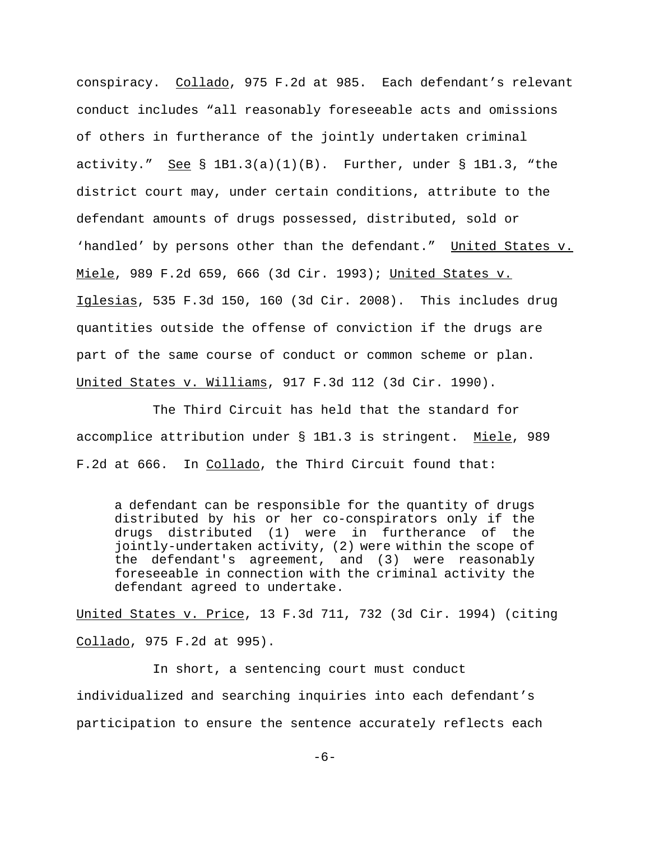conspiracy. Collado, 975 F.2d at 985. Each defendant's relevant conduct includes "all reasonably foreseeable acts and omissions of others in furtherance of the jointly undertaken criminal activity." See  $\S$  1B1.3(a)(1)(B). Further, under  $\S$  1B1.3, "the district court may, under certain conditions, attribute to the defendant amounts of drugs possessed, distributed, sold or 'handled' by persons other than the defendant." United States v. Miele, 989 F.2d 659, 666 (3d Cir. 1993); United States v. Iglesias, 535 F.3d 150, 160 (3d Cir. 2008). This includes drug quantities outside the offense of conviction if the drugs are part of the same course of conduct or common scheme or plan. United States v. Williams, 917 F.3d 112 (3d Cir. 1990).

The Third Circuit has held that the standard for accomplice attribution under § 1B1.3 is stringent. Miele, 989 F.2d at 666. In Collado, the Third Circuit found that:

a defendant can be responsible for the quantity of drugs distributed by his or her co-conspirators only if the drugs distributed (1) were in furtherance of the jointly-undertaken activity, (2) were within the scope of the defendant's agreement, and (3) were reasonably foreseeable in connection with the criminal activity the defendant agreed to undertake.

United States v. Price, 13 F.3d 711, 732 (3d Cir. 1994) (citing Collado, 975 F.2d at 995).

In short, a sentencing court must conduct individualized and searching inquiries into each defendant's participation to ensure the sentence accurately reflects each

-6-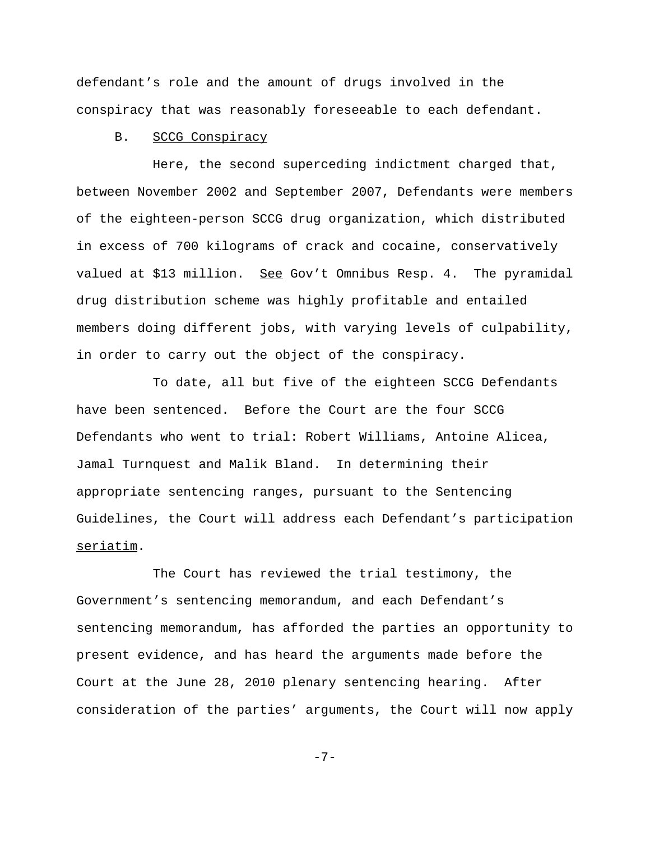defendant's role and the amount of drugs involved in the conspiracy that was reasonably foreseeable to each defendant.

#### B. SCCG Conspiracy

Here, the second superceding indictment charged that, between November 2002 and September 2007, Defendants were members of the eighteen-person SCCG drug organization, which distributed in excess of 700 kilograms of crack and cocaine, conservatively valued at \$13 million. See Gov't Omnibus Resp. 4. The pyramidal drug distribution scheme was highly profitable and entailed members doing different jobs, with varying levels of culpability, in order to carry out the object of the conspiracy.

To date, all but five of the eighteen SCCG Defendants have been sentenced. Before the Court are the four SCCG Defendants who went to trial: Robert Williams, Antoine Alicea, Jamal Turnquest and Malik Bland. In determining their appropriate sentencing ranges, pursuant to the Sentencing Guidelines, the Court will address each Defendant's participation seriatim.

The Court has reviewed the trial testimony, the Government's sentencing memorandum, and each Defendant's sentencing memorandum, has afforded the parties an opportunity to present evidence, and has heard the arguments made before the Court at the June 28, 2010 plenary sentencing hearing. After consideration of the parties' arguments, the Court will now apply

-7-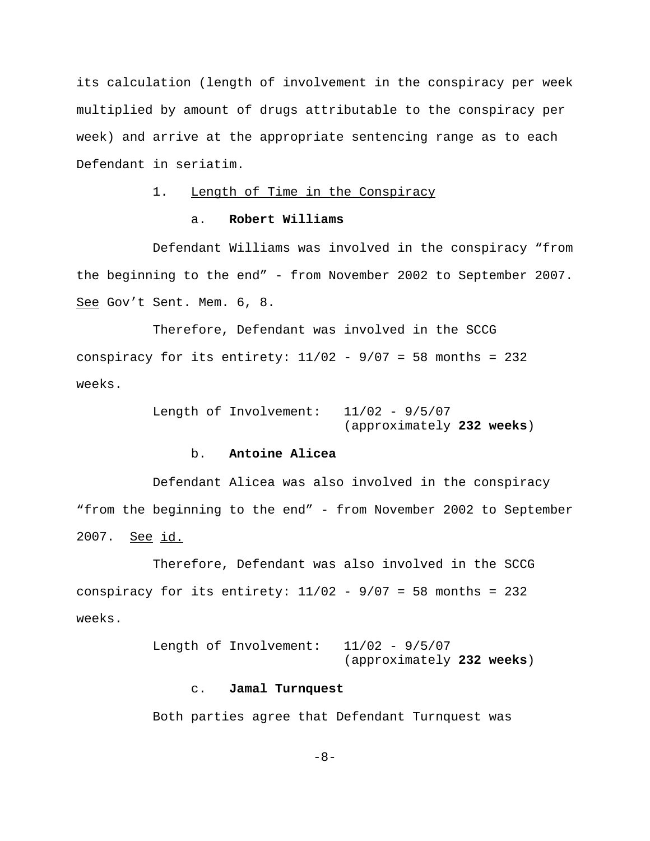its calculation (length of involvement in the conspiracy per week multiplied by amount of drugs attributable to the conspiracy per week) and arrive at the appropriate sentencing range as to each Defendant in seriatim.

### 1. Length of Time in the Conspiracy

### a. **Robert Williams**

Defendant Williams was involved in the conspiracy "from the beginning to the end" - from November 2002 to September 2007. See Gov't Sent. Mem. 6, 8.

Therefore, Defendant was involved in the SCCG conspiracy for its entirety:  $11/02 - 9/07 = 58$  months = 232 weeks.

> Length of Involvement: 11/02 - 9/5/07 (approximately **232 weeks**)

### b. **Antoine Alicea**

Defendant Alicea was also involved in the conspiracy "from the beginning to the end" - from November 2002 to September 2007. See id.

Therefore, Defendant was also involved in the SCCG conspiracy for its entirety:  $11/02 - 9/07 = 58$  months = 232 weeks.

> Length of Involvement: 11/02 - 9/5/07 (approximately **232 weeks**)

#### c. **Jamal Turnquest**

Both parties agree that Defendant Turnquest was

-8-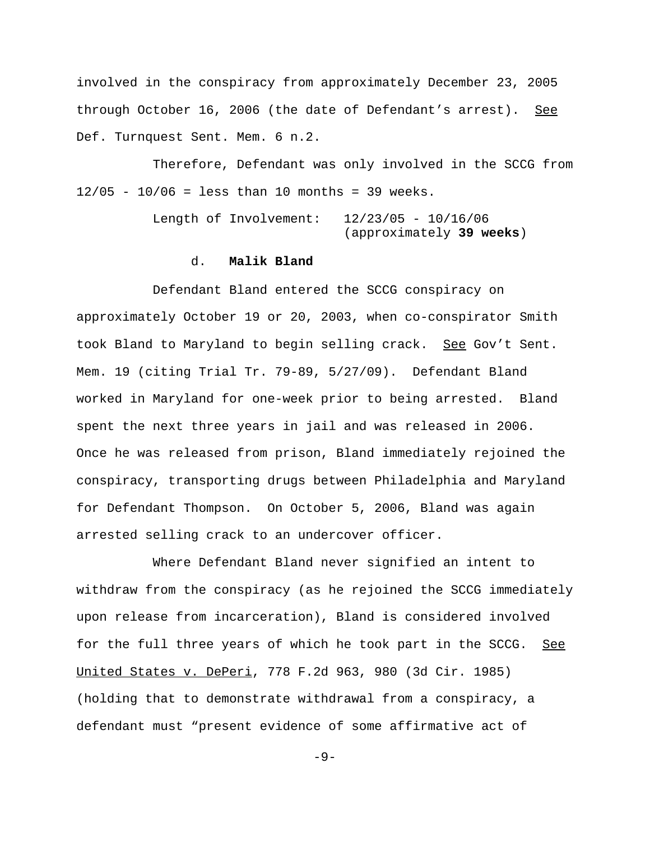involved in the conspiracy from approximately December 23, 2005 through October 16, 2006 (the date of Defendant's arrest). See Def. Turnquest Sent. Mem. 6 n.2.

Therefore, Defendant was only involved in the SCCG from  $12/05 - 10/06 =$  less than 10 months = 39 weeks.

> Length of Involvement: 12/23/05 - 10/16/06 (approximately **39 weeks**)

### d. **Malik Bland**

Defendant Bland entered the SCCG conspiracy on approximately October 19 or 20, 2003, when co-conspirator Smith took Bland to Maryland to begin selling crack. See Gov't Sent. Mem. 19 (citing Trial Tr. 79-89, 5/27/09). Defendant Bland worked in Maryland for one-week prior to being arrested. Bland spent the next three years in jail and was released in 2006. Once he was released from prison, Bland immediately rejoined the conspiracy, transporting drugs between Philadelphia and Maryland for Defendant Thompson. On October 5, 2006, Bland was again arrested selling crack to an undercover officer.

Where Defendant Bland never signified an intent to withdraw from the conspiracy (as he rejoined the SCCG immediately upon release from incarceration), Bland is considered involved for the full three years of which he took part in the SCCG. See United States v. DePeri, 778 F.2d 963, 980 (3d Cir. 1985) (holding that to demonstrate withdrawal from a conspiracy, a defendant must "present evidence of some affirmative act of

 $-9-$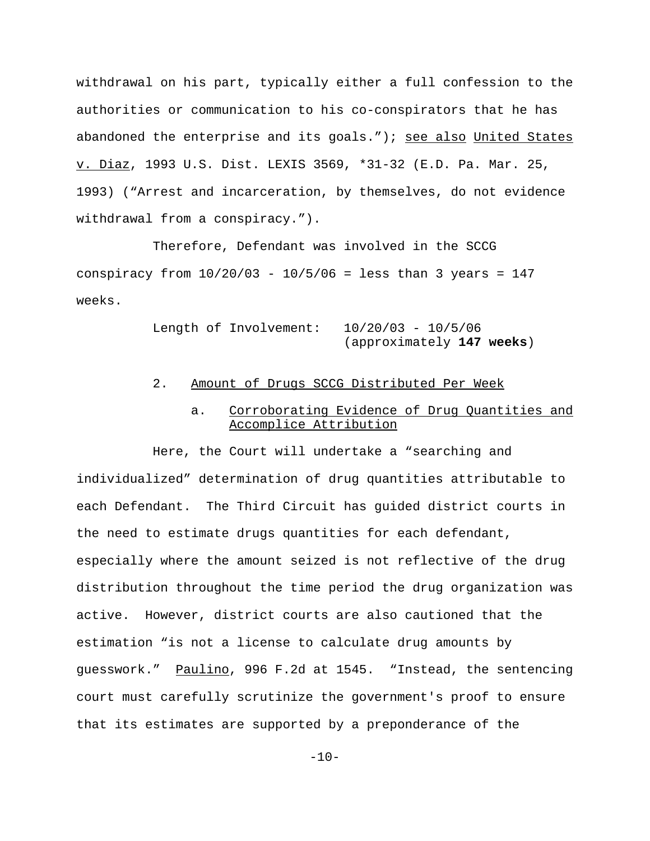withdrawal on his part, typically either a full confession to the authorities or communication to his co-conspirators that he has abandoned the enterprise and its goals."); see also United States v. Diaz, 1993 U.S. Dist. LEXIS 3569, \*31-32 (E.D. Pa. Mar. 25, 1993) ("Arrest and incarceration, by themselves, do not evidence withdrawal from a conspiracy.").

Therefore, Defendant was involved in the SCCG conspiracy from  $10/20/03 - 10/5/06 =$  less than 3 years = 147 weeks.

> Length of Involvement: 10/20/03 - 10/5/06 (approximately **147 weeks**)

### 2. Amount of Drugs SCCG Distributed Per Week

## a. Corroborating Evidence of Drug Quantities and Accomplice Attribution

Here, the Court will undertake a "searching and individualized" determination of drug quantities attributable to each Defendant. The Third Circuit has guided district courts in the need to estimate drugs quantities for each defendant, especially where the amount seized is not reflective of the drug distribution throughout the time period the drug organization was active. However, district courts are also cautioned that the estimation "is not a license to calculate drug amounts by guesswork." Paulino, 996 F.2d at 1545. "Instead, the sentencing court must carefully scrutinize the government's proof to ensure that its estimates are supported by a preponderance of the

 $-10-$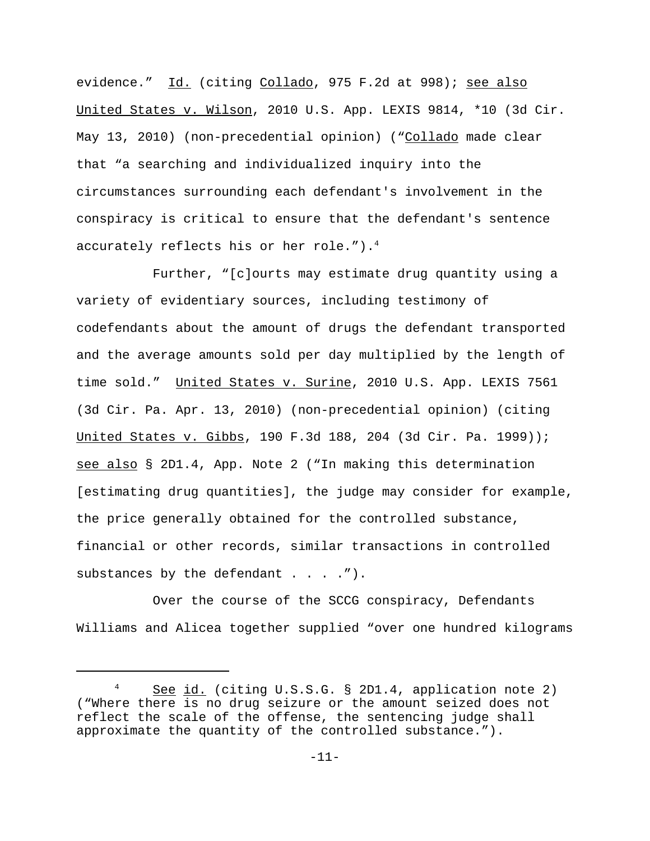evidence." Id. (citing Collado, 975 F.2d at 998); see also United States v. Wilson, 2010 U.S. App. LEXIS 9814, \*10 (3d Cir. May 13, 2010) (non-precedential opinion) ("Collado made clear that "a searching and individualized inquiry into the circumstances surrounding each defendant's involvement in the conspiracy is critical to ensure that the defendant's sentence accurately reflects his or her role."). $4$ 

Further, "[c]ourts may estimate drug quantity using a variety of evidentiary sources, including testimony of codefendants about the amount of drugs the defendant transported and the average amounts sold per day multiplied by the length of time sold." United States v. Surine, 2010 U.S. App. LEXIS 7561 (3d Cir. Pa. Apr. 13, 2010) (non-precedential opinion) (citing United States v. Gibbs, 190 F.3d 188, 204 (3d Cir. Pa. 1999)); see also § 2D1.4, App. Note 2 ("In making this determination [estimating drug quantities], the judge may consider for example, the price generally obtained for the controlled substance, financial or other records, similar transactions in controlled substances by the defendant . . . .").

Over the course of the SCCG conspiracy, Defendants Williams and Alicea together supplied "over one hundred kilograms

<sup>&</sup>lt;sup>4</sup> See id. (citing U.S.S.G. § 2D1.4, application note 2) ("Where there is no drug seizure or the amount seized does not reflect the scale of the offense, the sentencing judge shall approximate the quantity of the controlled substance.").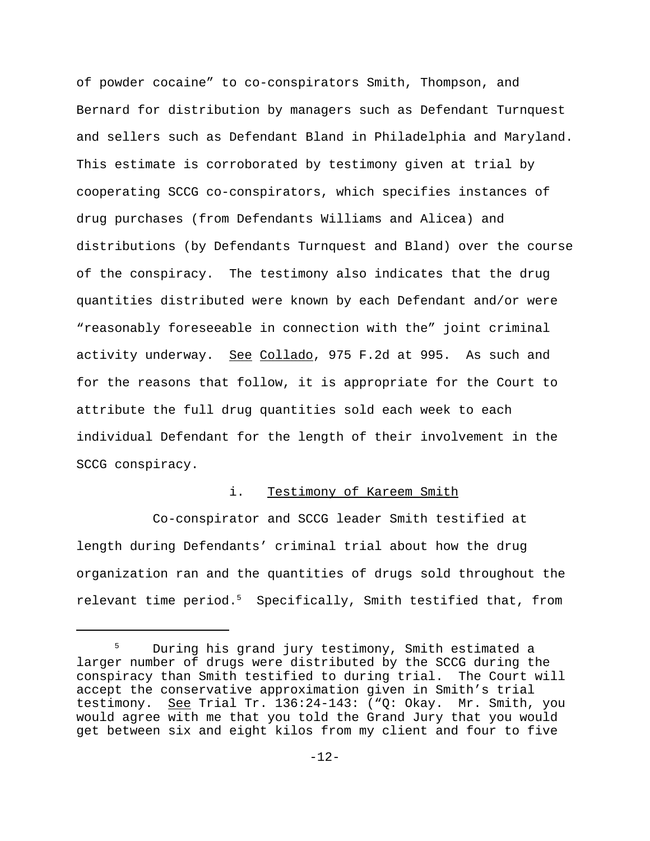of powder cocaine" to co-conspirators Smith, Thompson, and Bernard for distribution by managers such as Defendant Turnquest and sellers such as Defendant Bland in Philadelphia and Maryland. This estimate is corroborated by testimony given at trial by cooperating SCCG co-conspirators, which specifies instances of drug purchases (from Defendants Williams and Alicea) and distributions (by Defendants Turnquest and Bland) over the course of the conspiracy. The testimony also indicates that the drug quantities distributed were known by each Defendant and/or were "reasonably foreseeable in connection with the" joint criminal activity underway. See Collado, 975 F.2d at 995. As such and for the reasons that follow, it is appropriate for the Court to attribute the full drug quantities sold each week to each individual Defendant for the length of their involvement in the SCCG conspiracy.

### i. Testimony of Kareem Smith

Co-conspirator and SCCG leader Smith testified at length during Defendants' criminal trial about how the drug organization ran and the quantities of drugs sold throughout the relevant time period.<sup>5</sup> Specifically, Smith testified that, from

<sup>&</sup>lt;sup>5</sup> During his grand jury testimony, Smith estimated a larger number of drugs were distributed by the SCCG during the conspiracy than Smith testified to during trial. The Court will accept the conservative approximation given in Smith's trial testimony. See Trial Tr. 136:24-143: ("Q: Okay. Mr. Smith, you would agree with me that you told the Grand Jury that you would get between six and eight kilos from my client and four to five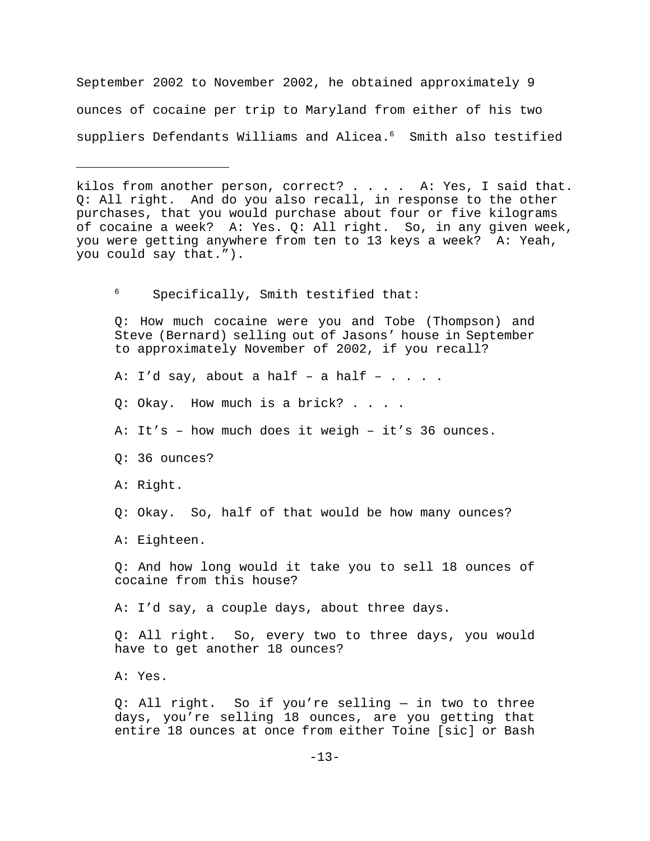September 2002 to November 2002, he obtained approximately 9 ounces of cocaine per trip to Maryland from either of his two suppliers Defendants Williams and Alicea.<sup>6</sup> Smith also testified

<sup>6</sup> Specifically, Smith testified that:

Q: How much cocaine were you and Tobe (Thompson) and Steve (Bernard) selling out of Jasons' house in September to approximately November of 2002, if you recall?

A: I'd say, about a half - a half -  $\ldots$ .

Q: Okay. How much is a brick? . . . .

A: It's – how much does it weigh – it's 36 ounces.

Q: 36 ounces?

A: Right.

Q: Okay. So, half of that would be how many ounces?

A: Eighteen.

Q: And how long would it take you to sell 18 ounces of cocaine from this house?

A: I'd say, a couple days, about three days.

Q: All right. So, every two to three days, you would have to get another 18 ounces?

A: Yes.

Q: All right. So if you're selling — in two to three days, you're selling 18 ounces, are you getting that entire 18 ounces at once from either Toine [sic] or Bash

kilos from another person, correct? . . . . A: Yes, I said that. Q: All right. And do you also recall, in response to the other purchases, that you would purchase about four or five kilograms of cocaine a week? A: Yes. Q: All right. So, in any given week, you were getting anywhere from ten to 13 keys a week? A: Yeah, you could say that.").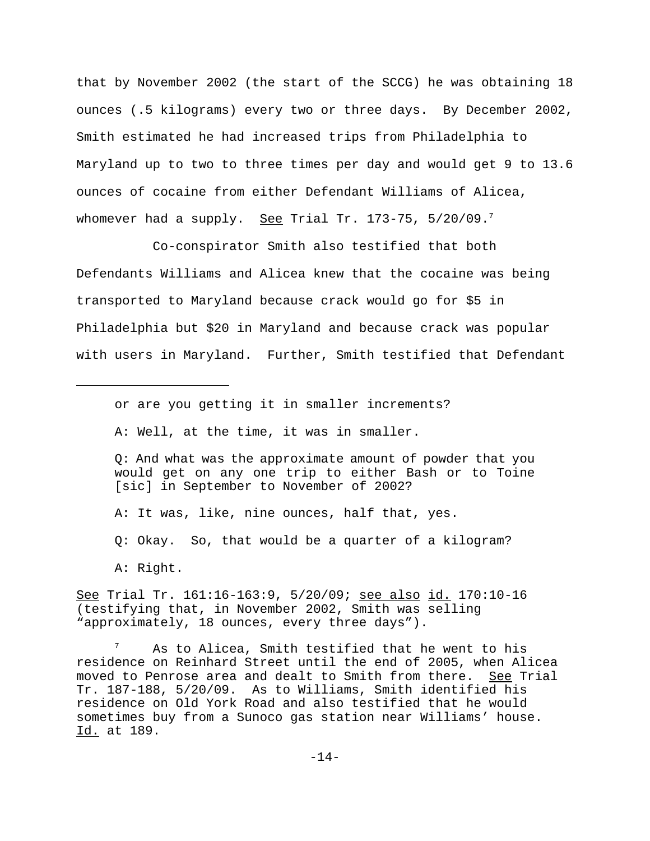that by November 2002 (the start of the SCCG) he was obtaining 18 ounces (.5 kilograms) every two or three days. By December 2002, Smith estimated he had increased trips from Philadelphia to Maryland up to two to three times per day and would get 9 to 13.6 ounces of cocaine from either Defendant Williams of Alicea, whomever had a supply. See Trial Tr. 173-75,  $5/20/09$ .

Co-conspirator Smith also testified that both Defendants Williams and Alicea knew that the cocaine was being transported to Maryland because crack would go for \$5 in Philadelphia but \$20 in Maryland and because crack was popular with users in Maryland. Further, Smith testified that Defendant

or are you getting it in smaller increments?

A: Well, at the time, it was in smaller.

Q: And what was the approximate amount of powder that you would get on any one trip to either Bash or to Toine [sic] in September to November of 2002?

A: It was, like, nine ounces, half that, yes.

Q: Okay. So, that would be a quarter of a kilogram?

See Trial Tr. 161:16-163:9, 5/20/09; see also id. 170:10-16 (testifying that, in November 2002, Smith was selling "approximately, 18 ounces, every three days").

As to Alicea, Smith testified that he went to his residence on Reinhard Street until the end of 2005, when Alicea moved to Penrose area and dealt to Smith from there. See Trial Tr. 187-188, 5/20/09. As to Williams, Smith identified his residence on Old York Road and also testified that he would sometimes buy from a Sunoco gas station near Williams' house. Id. at 189.

A: Right.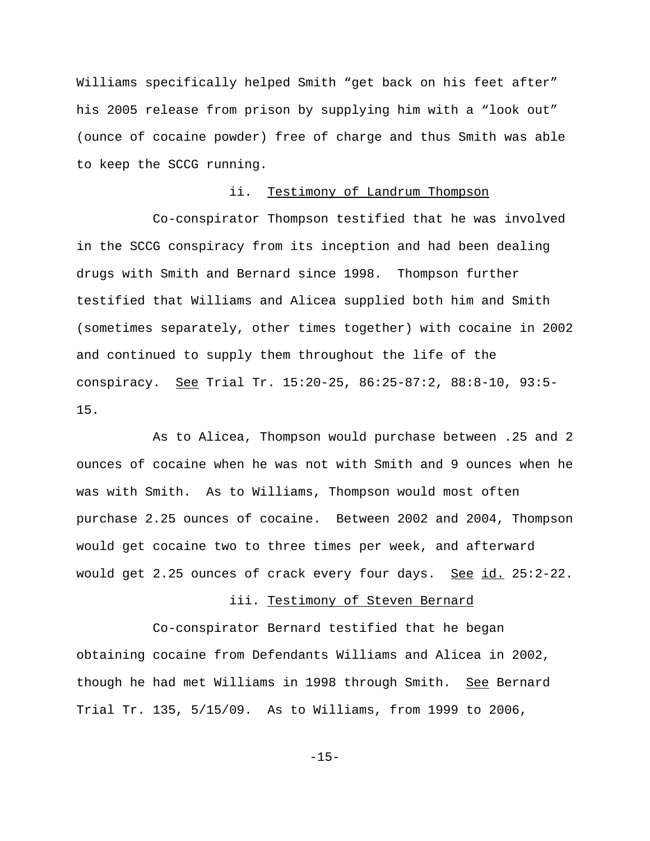Williams specifically helped Smith "get back on his feet after" his 2005 release from prison by supplying him with a "look out" (ounce of cocaine powder) free of charge and thus Smith was able to keep the SCCG running.

## ii. Testimony of Landrum Thompson

Co-conspirator Thompson testified that he was involved in the SCCG conspiracy from its inception and had been dealing drugs with Smith and Bernard since 1998. Thompson further testified that Williams and Alicea supplied both him and Smith (sometimes separately, other times together) with cocaine in 2002 and continued to supply them throughout the life of the conspiracy. See Trial Tr. 15:20-25, 86:25-87:2, 88:8-10, 93:5- 15.

As to Alicea, Thompson would purchase between .25 and 2 ounces of cocaine when he was not with Smith and 9 ounces when he was with Smith. As to Williams, Thompson would most often purchase 2.25 ounces of cocaine. Between 2002 and 2004, Thompson would get cocaine two to three times per week, and afterward would get 2.25 ounces of crack every four days. See id. 25:2-22.

#### iii. Testimony of Steven Bernard

Co-conspirator Bernard testified that he began obtaining cocaine from Defendants Williams and Alicea in 2002, though he had met Williams in 1998 through Smith. See Bernard Trial Tr. 135, 5/15/09. As to Williams, from 1999 to 2006,

-15-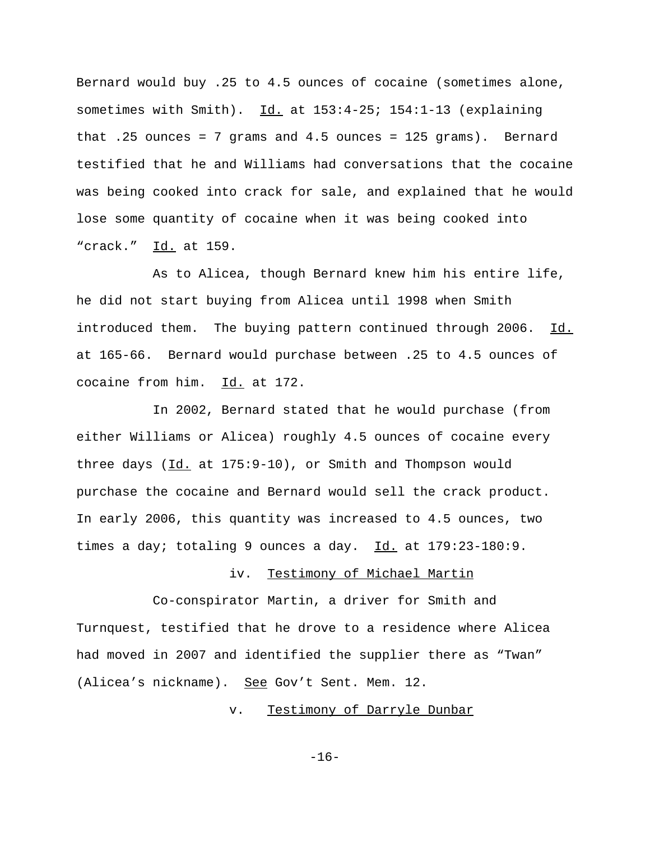Bernard would buy .25 to 4.5 ounces of cocaine (sometimes alone, sometimes with Smith).  $Id.$  at  $153:4-25: 154:1-13$  (explaining that .25 ounces = 7 grams and 4.5 ounces = 125 grams). Bernard testified that he and Williams had conversations that the cocaine was being cooked into crack for sale, and explained that he would lose some quantity of cocaine when it was being cooked into "crack." Id. at 159.

As to Alicea, though Bernard knew him his entire life, he did not start buying from Alicea until 1998 when Smith introduced them. The buying pattern continued through 2006. Id. at 165-66. Bernard would purchase between .25 to 4.5 ounces of cocaine from him. Id. at 172.

In 2002, Bernard stated that he would purchase (from either Williams or Alicea) roughly 4.5 ounces of cocaine every three days (Id. at 175:9-10), or Smith and Thompson would purchase the cocaine and Bernard would sell the crack product. In early 2006, this quantity was increased to 4.5 ounces, two times a day; totaling 9 ounces a day.  $Id.$  at  $179:23-180:9.$ 

## iv. Testimony of Michael Martin

Co-conspirator Martin, a driver for Smith and Turnquest, testified that he drove to a residence where Alicea had moved in 2007 and identified the supplier there as "Twan" (Alicea's nickname). See Gov't Sent. Mem. 12.

v. Testimony of Darryle Dunbar

-16-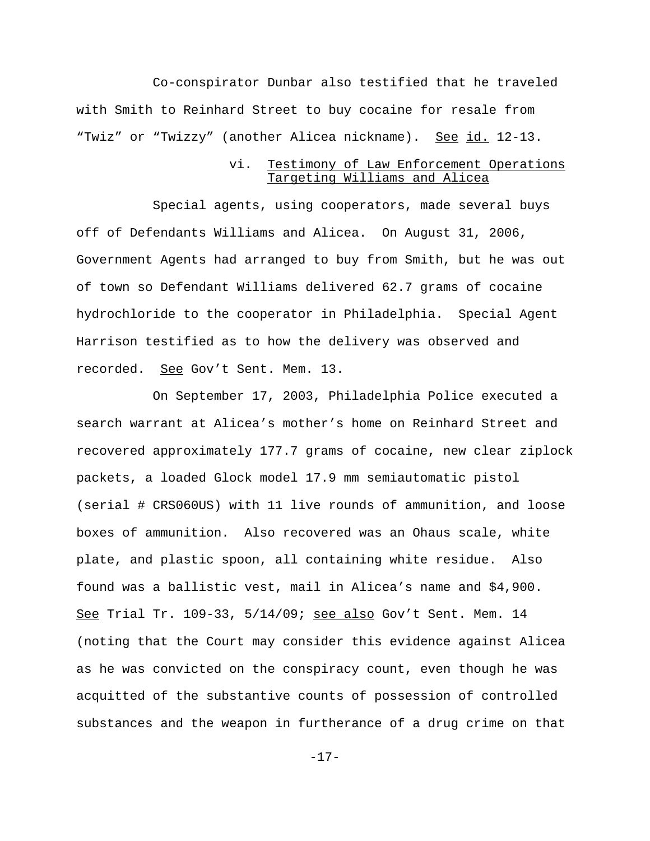Co-conspirator Dunbar also testified that he traveled with Smith to Reinhard Street to buy cocaine for resale from "Twiz" or "Twizzy" (another Alicea nickname). See id. 12-13.

### vi. Testimony of Law Enforcement Operations Targeting Williams and Alicea

Special agents, using cooperators, made several buys off of Defendants Williams and Alicea. On August 31, 2006, Government Agents had arranged to buy from Smith, but he was out of town so Defendant Williams delivered 62.7 grams of cocaine hydrochloride to the cooperator in Philadelphia. Special Agent Harrison testified as to how the delivery was observed and recorded. See Gov't Sent. Mem. 13.

On September 17, 2003, Philadelphia Police executed a search warrant at Alicea's mother's home on Reinhard Street and recovered approximately 177.7 grams of cocaine, new clear ziplock packets, a loaded Glock model 17.9 mm semiautomatic pistol (serial # CRS060US) with 11 live rounds of ammunition, and loose boxes of ammunition. Also recovered was an Ohaus scale, white plate, and plastic spoon, all containing white residue. Also found was a ballistic vest, mail in Alicea's name and \$4,900. See Trial Tr. 109-33, 5/14/09; see also Gov't Sent. Mem. 14 (noting that the Court may consider this evidence against Alicea as he was convicted on the conspiracy count, even though he was acquitted of the substantive counts of possession of controlled substances and the weapon in furtherance of a drug crime on that

-17-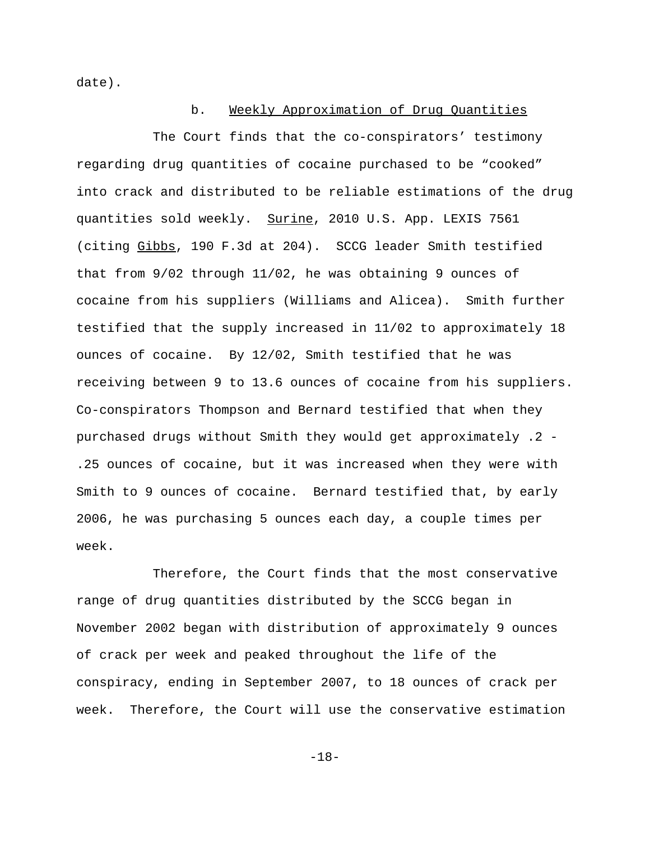date).

#### b. Weekly Approximation of Drug Quantities

The Court finds that the co-conspirators' testimony regarding drug quantities of cocaine purchased to be "cooked" into crack and distributed to be reliable estimations of the drug quantities sold weekly. Surine, 2010 U.S. App. LEXIS 7561 (citing Gibbs, 190 F.3d at 204). SCCG leader Smith testified that from 9/02 through 11/02, he was obtaining 9 ounces of cocaine from his suppliers (Williams and Alicea). Smith further testified that the supply increased in 11/02 to approximately 18 ounces of cocaine. By 12/02, Smith testified that he was receiving between 9 to 13.6 ounces of cocaine from his suppliers. Co-conspirators Thompson and Bernard testified that when they purchased drugs without Smith they would get approximately .2 - .25 ounces of cocaine, but it was increased when they were with Smith to 9 ounces of cocaine. Bernard testified that, by early 2006, he was purchasing 5 ounces each day, a couple times per week.

Therefore, the Court finds that the most conservative range of drug quantities distributed by the SCCG began in November 2002 began with distribution of approximately 9 ounces of crack per week and peaked throughout the life of the conspiracy, ending in September 2007, to 18 ounces of crack per week. Therefore, the Court will use the conservative estimation

-18-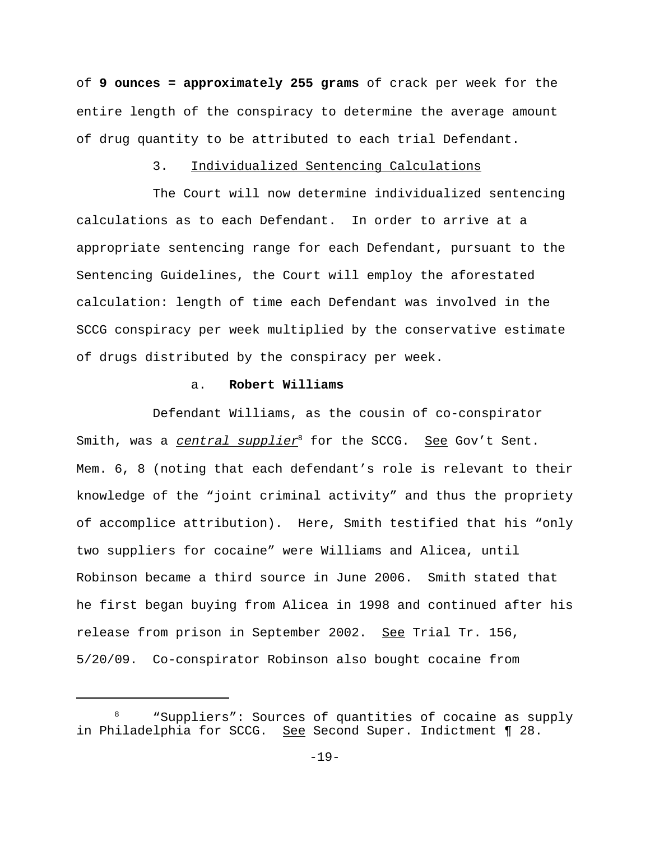of **9 ounces = approximately 255 grams** of crack per week for the entire length of the conspiracy to determine the average amount of drug quantity to be attributed to each trial Defendant.

### 3. Individualized Sentencing Calculations

The Court will now determine individualized sentencing calculations as to each Defendant. In order to arrive at a appropriate sentencing range for each Defendant, pursuant to the Sentencing Guidelines, the Court will employ the aforestated calculation: length of time each Defendant was involved in the SCCG conspiracy per week multiplied by the conservative estimate of drugs distributed by the conspiracy per week.

### a. **Robert Williams**

Defendant Williams, as the cousin of co-conspirator Smith, was a central supplier<sup>8</sup> for the SCCG. See Gov't Sent. Mem. 6, 8 (noting that each defendant's role is relevant to their knowledge of the "joint criminal activity" and thus the propriety of accomplice attribution). Here, Smith testified that his "only two suppliers for cocaine" were Williams and Alicea, until Robinson became a third source in June 2006. Smith stated that he first began buying from Alicea in 1998 and continued after his release from prison in September 2002. See Trial Tr. 156, 5/20/09. Co-conspirator Robinson also bought cocaine from

<sup>8</sup> "Suppliers": Sources of quantities of cocaine as supply in Philadelphia for SCCG. See Second Super. Indictment ¶ 28.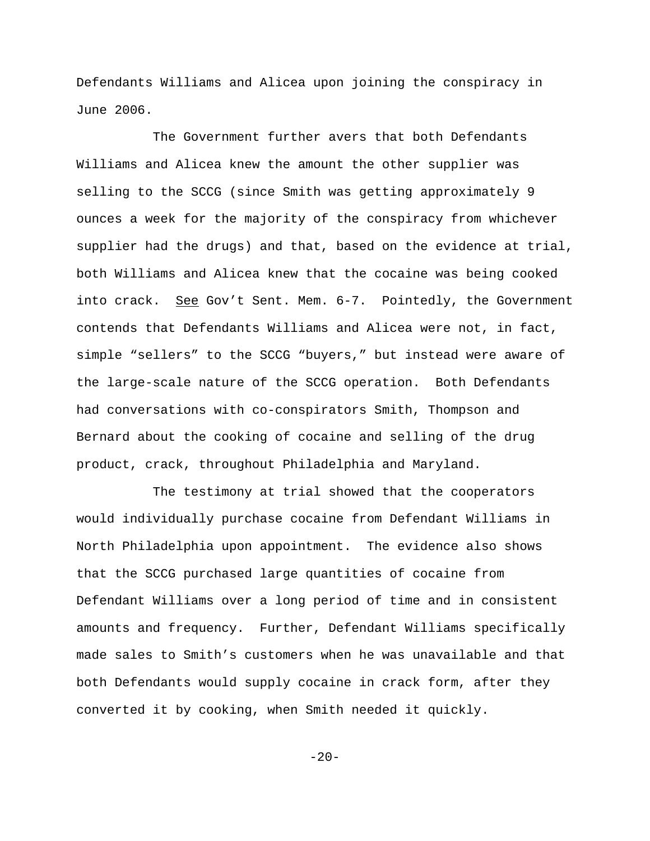Defendants Williams and Alicea upon joining the conspiracy in June 2006.

The Government further avers that both Defendants Williams and Alicea knew the amount the other supplier was selling to the SCCG (since Smith was getting approximately 9 ounces a week for the majority of the conspiracy from whichever supplier had the drugs) and that, based on the evidence at trial, both Williams and Alicea knew that the cocaine was being cooked into crack. See Gov't Sent. Mem. 6-7. Pointedly, the Government contends that Defendants Williams and Alicea were not, in fact, simple "sellers" to the SCCG "buyers," but instead were aware of the large-scale nature of the SCCG operation. Both Defendants had conversations with co-conspirators Smith, Thompson and Bernard about the cooking of cocaine and selling of the drug product, crack, throughout Philadelphia and Maryland.

The testimony at trial showed that the cooperators would individually purchase cocaine from Defendant Williams in North Philadelphia upon appointment. The evidence also shows that the SCCG purchased large quantities of cocaine from Defendant Williams over a long period of time and in consistent amounts and frequency. Further, Defendant Williams specifically made sales to Smith's customers when he was unavailable and that both Defendants would supply cocaine in crack form, after they converted it by cooking, when Smith needed it quickly.

 $-20-$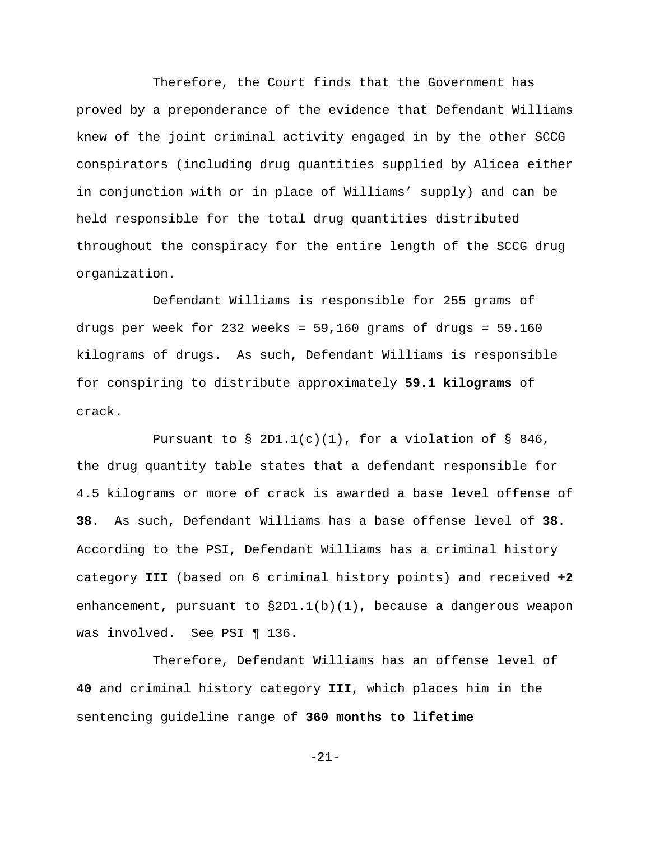Therefore, the Court finds that the Government has proved by a preponderance of the evidence that Defendant Williams knew of the joint criminal activity engaged in by the other SCCG conspirators (including drug quantities supplied by Alicea either in conjunction with or in place of Williams' supply) and can be held responsible for the total drug quantities distributed throughout the conspiracy for the entire length of the SCCG drug organization.

Defendant Williams is responsible for 255 grams of drugs per week for 232 weeks =  $59,160$  grams of drugs =  $59.160$ kilograms of drugs. As such, Defendant Williams is responsible for conspiring to distribute approximately **59.1 kilograms** of crack.

Pursuant to  $\S$  2D1.1(c)(1), for a violation of  $\S$  846, the drug quantity table states that a defendant responsible for 4.5 kilograms or more of crack is awarded a base level offense of **38**. As such, Defendant Williams has a base offense level of **38**. According to the PSI, Defendant Williams has a criminal history category **III** (based on 6 criminal history points) and received **+2** enhancement, pursuant to  $\S2D1.1(b)(1)$ , because a dangerous weapon was involved. See PSI ¶ 136.

Therefore, Defendant Williams has an offense level of **40** and criminal history category **III**, which places him in the sentencing guideline range of **360 months to lifetime**

-21-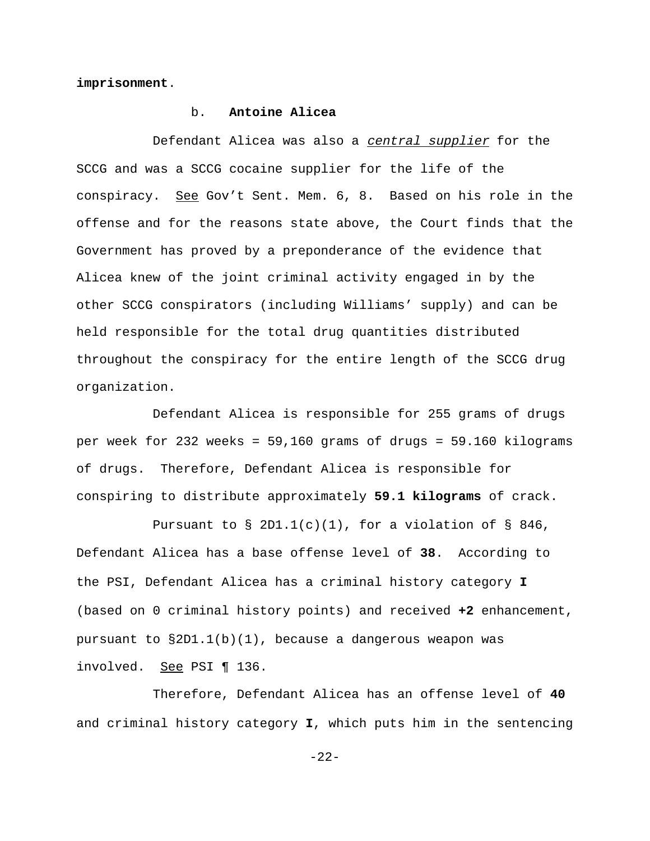**imprisonment**.

### b. **Antoine Alicea**

Defendant Alicea was also a central supplier for the SCCG and was a SCCG cocaine supplier for the life of the conspiracy. See Gov't Sent. Mem. 6, 8. Based on his role in the offense and for the reasons state above, the Court finds that the Government has proved by a preponderance of the evidence that Alicea knew of the joint criminal activity engaged in by the other SCCG conspirators (including Williams' supply) and can be held responsible for the total drug quantities distributed throughout the conspiracy for the entire length of the SCCG drug organization.

Defendant Alicea is responsible for 255 grams of drugs per week for 232 weeks = 59,160 grams of drugs = 59.160 kilograms of drugs. Therefore, Defendant Alicea is responsible for conspiring to distribute approximately **59.1 kilograms** of crack.

Pursuant to  $\S$  2D1.1(c)(1), for a violation of  $\S$  846, Defendant Alicea has a base offense level of **38**. According to the PSI, Defendant Alicea has a criminal history category **I** (based on 0 criminal history points) and received **+2** enhancement, pursuant to  $\S2D1.1(b)(1)$ , because a dangerous weapon was involved. See PSI ¶ 136.

Therefore, Defendant Alicea has an offense level of **40** and criminal history category **I**, which puts him in the sentencing

-22-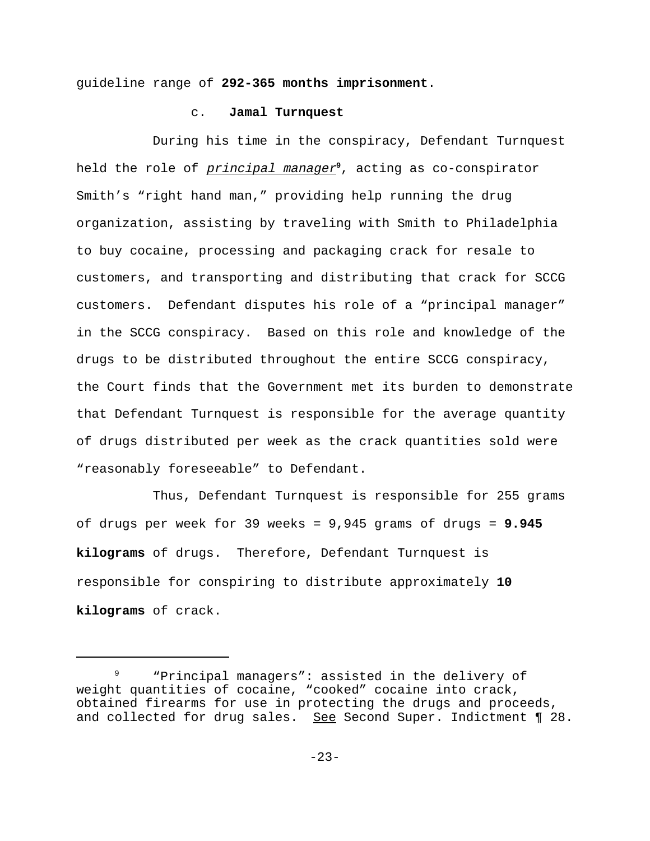guideline range of **292-365 months imprisonment**.

#### c. **Jamal Turnquest**

During his time in the conspiracy, Defendant Turnquest held the role of principal manager**<sup>9</sup>** , acting as co-conspirator Smith's "right hand man," providing help running the drug organization, assisting by traveling with Smith to Philadelphia to buy cocaine, processing and packaging crack for resale to customers, and transporting and distributing that crack for SCCG customers. Defendant disputes his role of a "principal manager" in the SCCG conspiracy. Based on this role and knowledge of the drugs to be distributed throughout the entire SCCG conspiracy, the Court finds that the Government met its burden to demonstrate that Defendant Turnquest is responsible for the average quantity of drugs distributed per week as the crack quantities sold were "reasonably foreseeable" to Defendant.

Thus, Defendant Turnquest is responsible for 255 grams of drugs per week for 39 weeks = 9,945 grams of drugs = **9.945 kilograms** of drugs. Therefore, Defendant Turnquest is responsible for conspiring to distribute approximately **10 kilograms** of crack.

<sup>&</sup>quot;Principal managers": assisted in the delivery of weight quantities of cocaine, "cooked" cocaine into crack, obtained firearms for use in protecting the drugs and proceeds, and collected for drug sales. See Second Super. Indictment ¶ 28.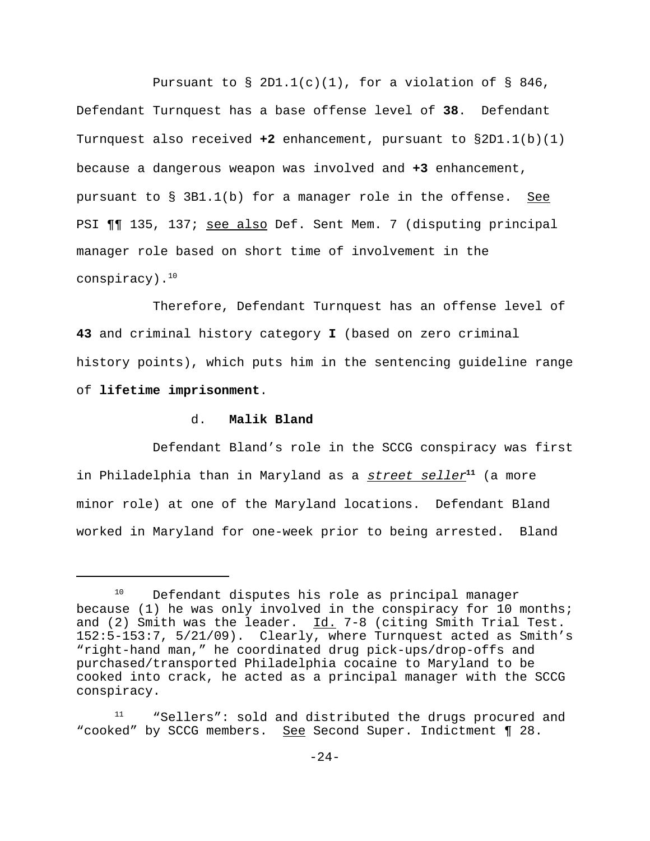Pursuant to  $\S$  2D1.1(c)(1), for a violation of  $\S$  846, Defendant Turnquest has a base offense level of **38**. Defendant Turnquest also received **+2** enhancement, pursuant to §2D1.1(b)(1) because a dangerous weapon was involved and **+3** enhancement, pursuant to § 3B1.1(b) for a manager role in the offense. See PSI ¶¶ 135, 137; see also Def. Sent Mem. 7 (disputing principal manager role based on short time of involvement in the conspiracy). $10$ 

Therefore, Defendant Turnquest has an offense level of **43** and criminal history category **I** (based on zero criminal history points), which puts him in the sentencing guideline range of **lifetime imprisonment**.

## d. **Malik Bland**

Defendant Bland's role in the SCCG conspiracy was first in Philadelphia than in Maryland as a street seller**<sup>11</sup>** (a more minor role) at one of the Maryland locations. Defendant Bland worked in Maryland for one-week prior to being arrested. Bland

<sup>&</sup>lt;sup>10</sup> Defendant disputes his role as principal manager because (1) he was only involved in the conspiracy for 10 months; and (2) Smith was the leader.  $\underline{Id.}$  7-8 (citing Smith Trial Test. 152:5-153:7, 5/21/09). Clearly, where Turnquest acted as Smith's "right-hand man," he coordinated drug pick-ups/drop-offs and purchased/transported Philadelphia cocaine to Maryland to be cooked into crack, he acted as a principal manager with the SCCG conspiracy.

<sup>&</sup>quot;Sellers": sold and distributed the drugs procured and "cooked" by SCCG members. See Second Super. Indictment ¶ 28.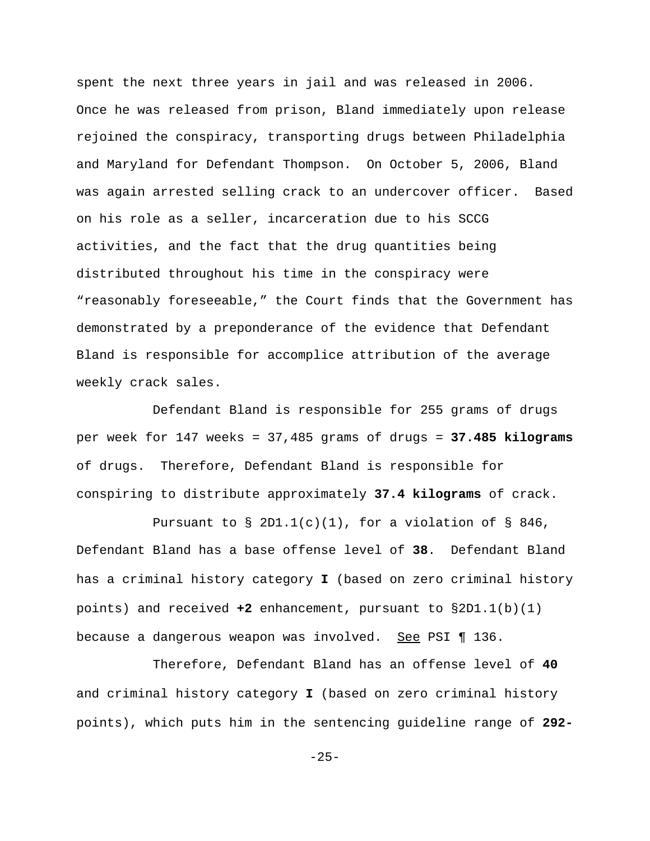spent the next three years in jail and was released in 2006. Once he was released from prison, Bland immediately upon release rejoined the conspiracy, transporting drugs between Philadelphia and Maryland for Defendant Thompson. On October 5, 2006, Bland was again arrested selling crack to an undercover officer. Based on his role as a seller, incarceration due to his SCCG activities, and the fact that the drug quantities being distributed throughout his time in the conspiracy were "reasonably foreseeable," the Court finds that the Government has demonstrated by a preponderance of the evidence that Defendant Bland is responsible for accomplice attribution of the average weekly crack sales.

Defendant Bland is responsible for 255 grams of drugs per week for 147 weeks = 37,485 grams of drugs = **37.485 kilograms** of drugs. Therefore, Defendant Bland is responsible for conspiring to distribute approximately **37.4 kilograms** of crack.

Pursuant to  $\S$  2D1.1(c)(1), for a violation of  $\S$  846, Defendant Bland has a base offense level of **38**. Defendant Bland has a criminal history category **I** (based on zero criminal history points) and received **+2** enhancement, pursuant to §2D1.1(b)(1) because a dangerous weapon was involved. See PSI ¶ 136.

Therefore, Defendant Bland has an offense level of **40** and criminal history category **I** (based on zero criminal history points), which puts him in the sentencing guideline range of **292-**

-25-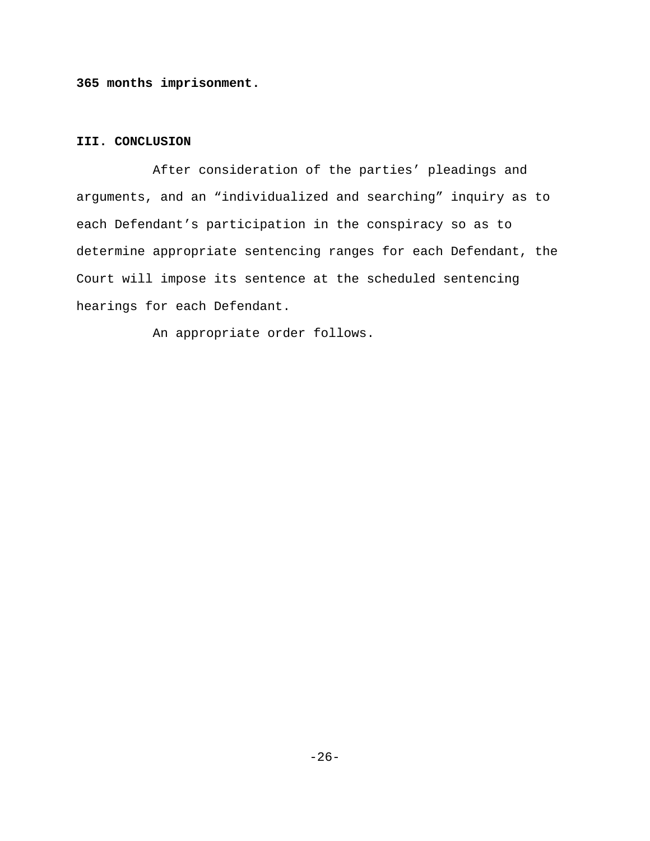**365 months imprisonment.**

# **III. CONCLUSION**

After consideration of the parties' pleadings and arguments, and an "individualized and searching" inquiry as to each Defendant's participation in the conspiracy so as to determine appropriate sentencing ranges for each Defendant, the Court will impose its sentence at the scheduled sentencing hearings for each Defendant.

An appropriate order follows.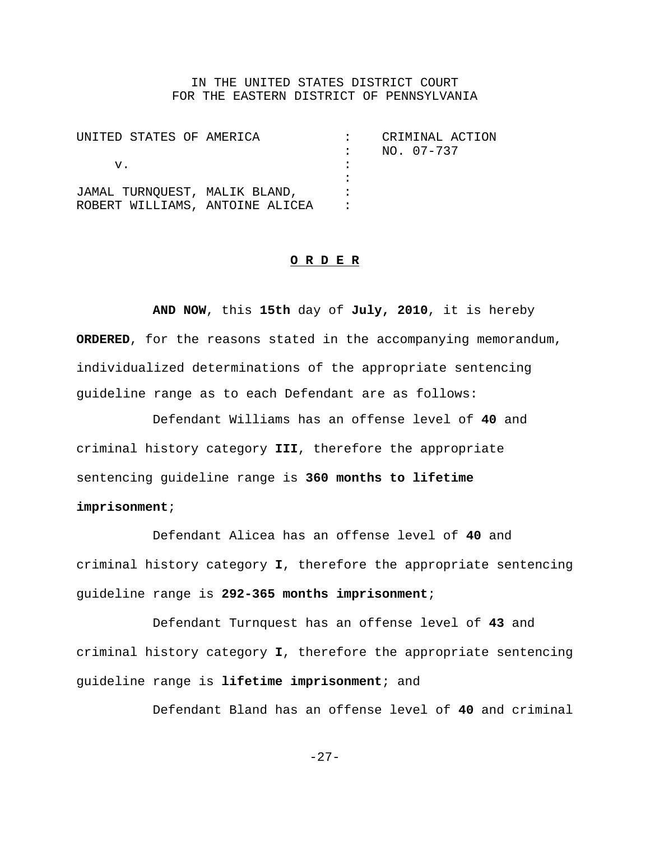### IN THE UNITED STATES DISTRICT COURT FOR THE EASTERN DISTRICT OF PENNSYLVANIA

| UNITED STATES OF AMERICA                                         |  | CRIMINAL ACTION<br>NO. 07-737 |
|------------------------------------------------------------------|--|-------------------------------|
| V.                                                               |  |                               |
| JAMAL TURNQUEST, MALIK BLAND,<br>ROBERT WILLIAMS, ANTOINE ALICEA |  |                               |

#### **O R D E R**

**AND NOW**, this **15th** day of **July, 2010**, it is hereby **ORDERED**, for the reasons stated in the accompanying memorandum, individualized determinations of the appropriate sentencing guideline range as to each Defendant are as follows:

Defendant Williams has an offense level of **40** and criminal history category **III**, therefore the appropriate sentencing guideline range is **360 months to lifetime imprisonment**;

Defendant Alicea has an offense level of **40** and criminal history category **I**, therefore the appropriate sentencing guideline range is **292-365 months imprisonment**;

Defendant Turnquest has an offense level of **43** and criminal history category **I**, therefore the appropriate sentencing guideline range is **lifetime imprisonment**; and

Defendant Bland has an offense level of **40** and criminal

 $-27-$